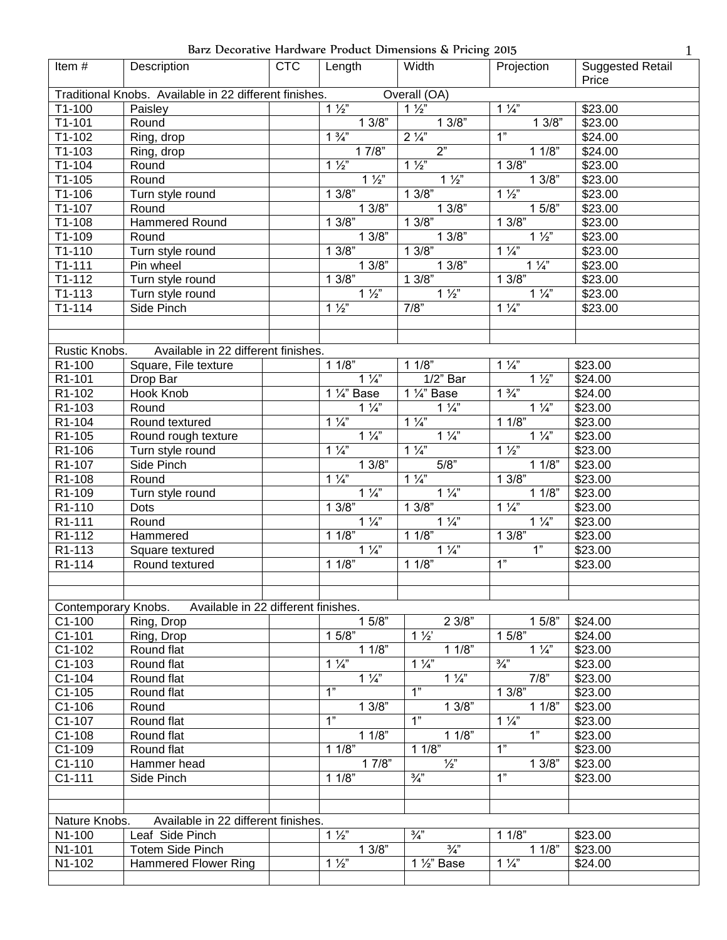| Barz Decorative Hardware Product Dimensions & Pricing 2015 |  |
|------------------------------------------------------------|--|
|------------------------------------------------------------|--|

| Item#               | Description                                            | <b>CTC</b> | Length                 | Width                  | Projection        | <b>Suggested Retail</b><br>Price |
|---------------------|--------------------------------------------------------|------------|------------------------|------------------------|-------------------|----------------------------------|
|                     | Traditional Knobs. Available in 22 different finishes. |            |                        | Overall (OA)           |                   |                                  |
| T1-100              | Paisley                                                |            | $1\frac{1}{2}$         | $1\frac{1}{2}$         | $1\frac{1}{4}$    | \$23.00                          |
| $T1-101$            | Round                                                  |            | 13/8"                  | 13/8"                  | 13/8"             | \$23.00                          |
| T1-102              | Ring, drop                                             |            | $1\frac{3}{4}$         | $2\frac{1}{4}$         | 1"                | \$24.00                          |
| T1-103              | Ring, drop                                             |            | 17/8"                  | 2"                     | 11/8"             | \$24.00                          |
| T1-104              | Round                                                  |            | $1\frac{1}{2}$         | $1\frac{1}{2}$         | 13/8"             | \$23.00                          |
| $T1-105$            | Round                                                  |            | $1\frac{1}{2}$         | $1\frac{1}{2}$         | 13/8"             | \$23.00                          |
| T1-106              | Turn style round                                       |            | 13/8"                  | $1 \overline{3/8}$     | $1\frac{1}{2}$    | \$23.00                          |
| T1-107              | Round                                                  |            | 13/8"                  | 13/8"                  | $1\overline{5/8}$ | \$23.00                          |
| T1-108              | <b>Hammered Round</b>                                  |            | 13/8"                  | 13/8"                  | 13/8"             | \$23.00                          |
| T1-109              | Round                                                  |            | 13/8"                  | 13/8"                  | $1\frac{1}{2}$    | \$23.00                          |
| T1-110              | Turn style round                                       |            | 13/8"                  | 13/8"                  | $1\frac{1}{4}$    | \$23.00                          |
| $T1-111$            | Pin wheel                                              |            | 13/8"                  | 13/8                   | $1\frac{1}{4}$    | \$23.00                          |
| $T1-112$            | Turn style round                                       |            | 13/8"                  | 13/8"                  | 13/8"             | \$23.00                          |
| $T1-113$            | Turn style round                                       |            | $1\frac{1}{2}$         | $1\frac{1}{2}$         | $1\frac{1}{4}$    | \$23.00                          |
| T1-114              | Side Pinch                                             |            | $1\frac{1}{2}$         | 7/8"                   | $1\frac{1}{4}$    | \$23.00                          |
|                     |                                                        |            |                        |                        |                   |                                  |
| Rustic Knobs.       | Available in 22 different finishes.                    |            |                        |                        |                   |                                  |
| R1-100              | Square, File texture                                   |            | 11/8"                  | 11/8"                  | $1\frac{1}{4}$    | \$23.00                          |
| R1-101              | Drop Bar                                               |            | $1\frac{1}{4}$         | $1/2$ " Bar            | $1\frac{1}{2}$    | \$24.00                          |
| R1-102              | Hook Knob                                              |            | 1 $\frac{1}{4}$ " Base | 1 $\frac{1}{4}$ " Base | $1\frac{3}{4}$    | \$24.00                          |
| R1-103              | Round                                                  |            | $1\frac{1}{4}$         | $1\frac{1}{4}$         | $1\frac{1}{4}$    | \$23.00                          |
| R1-104              | Round textured                                         |            | $1\frac{1}{4}$         | $1\frac{1}{4}$         | 11/8"             | \$23.00                          |
| R1-105              | Round rough texture                                    |            | $1\frac{1}{4}$         | $1\frac{1}{4}$         | $1\frac{1}{4}$    | \$23.00                          |
| R1-106              | Turn style round                                       |            | $1\frac{1}{4}$         | $1\frac{1}{4}$         | $1\frac{1}{2}$    | \$23.00                          |
| R1-107              | Side Pinch                                             |            | 13/8"                  | 5/8"                   | 11/8"             | \$23.00                          |
| R1-108              | Round                                                  |            | $1\frac{1}{4}$         | $1\frac{1}{4}$         | 13/8              | \$23.00                          |
| R1-109              | Turn style round                                       |            | $1\frac{1}{4}$         | $1\frac{1}{4}$         | 11/8"             | \$23.00                          |
| R1-110              | Dots                                                   |            | 13/8"                  | $1 \overline{3/8}$     | $1\frac{1}{4}$    | \$23.00                          |
| R1-111              | Round                                                  |            | $1\frac{1}{4}$         | $1\frac{1}{4}$         | $1\frac{1}{4}$    | \$23.00                          |
| R1-112              | Hammered                                               |            | 11/8"                  | 11/8"                  | 13/8"             | \$23.00                          |
| R1-113              | Square textured                                        |            | $1\frac{1}{4}$         | $1\frac{1}{4}$         | 1"                | \$23.00                          |
| R1-114              | Round textured                                         |            | 11/8"                  | 11/8"                  | 1"                | \$23.00                          |
|                     |                                                        |            |                        |                        |                   |                                  |
|                     |                                                        |            |                        |                        |                   |                                  |
| Contemporary Knobs. | Available in 22 different finishes.                    |            |                        |                        |                   |                                  |
| $C1-100$            | Ring, Drop                                             |            | 15/8"                  | 23/8"                  | 15/8"             | \$24.00                          |
| $C1-101$            | Ring, Drop                                             |            | 15/8"                  | $1\frac{1}{2}$         | 15/8"             | \$24.00                          |
| C1-102              | Round flat                                             |            | 11/8"                  | 11/8"                  | $1\frac{1}{4}$    | \$23.00                          |
| $C1-103$            | Round flat                                             |            | $1\frac{1}{4}$         | $1\frac{1}{4}$         | $\frac{3}{4}$     | \$23.00                          |
| C1-104              | Round flat                                             |            | $1\frac{1}{4}$         | $1\frac{1}{4}$         | 7/8"              | \$23.00                          |
| $C1-105$            | Round flat                                             |            | 1"                     | 1"                     | 13/8"             | \$23.00                          |
| C1-106              | Round                                                  |            | 13/8"                  | 13/8"                  | 11/8"             | \$23.00                          |
| C1-107              | Round flat                                             |            | 1"                     | 1"                     | $1\frac{1}{4}$    | \$23.00                          |
| C1-108              | Round flat                                             |            | 11/8"                  | 11/8"                  | 1"                | \$23.00                          |
| C1-109              | Round flat                                             |            | 11/8"                  | 11/8"                  | 1"                | \$23.00                          |
| $C1-110$            | Hammer head                                            |            | 17/8"                  | $\frac{1}{2}$          | 13/8"             | \$23.00                          |
| $C1-111$            | Side Pinch                                             |            | 11/8"                  | $\frac{3}{4}$          | 1"                | \$23.00                          |
|                     |                                                        |            |                        |                        |                   |                                  |
|                     |                                                        |            |                        |                        |                   |                                  |
| Nature Knobs.       | Available in 22 different finishes.                    |            |                        |                        |                   |                                  |
| N1-100              | Leaf Side Pinch                                        |            | $1\frac{1}{2}$         | $\frac{3}{4}$          | 11/8"             | \$23.00                          |
| N1-101              | <b>Totem Side Pinch</b>                                |            | 13/8"                  | $\frac{3}{4}$          | 11/8"             | \$23.00                          |
| N1-102              | <b>Hammered Flower Ring</b>                            |            | $1\frac{1}{2}$         | 1 1/2" Base            | $1\frac{1}{4}$    | \$24.00                          |
|                     |                                                        |            |                        |                        |                   |                                  |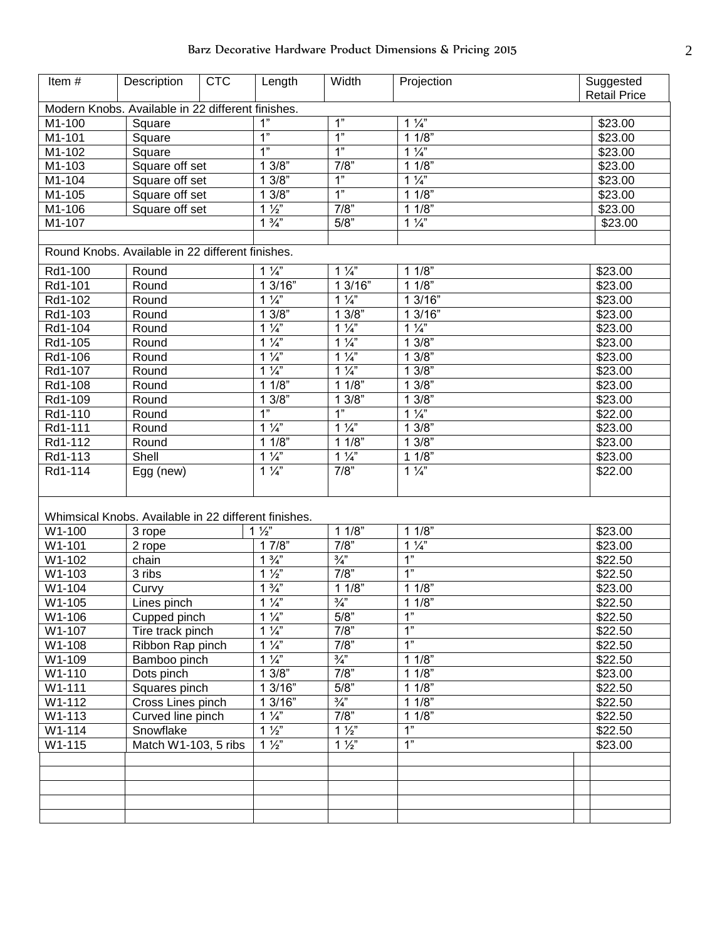| Item#      | Description                                          | <b>CTC</b> | Length         | Width              | Projection     | Suggested<br><b>Retail Price</b> |
|------------|------------------------------------------------------|------------|----------------|--------------------|----------------|----------------------------------|
|            | Modern Knobs. Available in 22 different finishes.    |            |                |                    |                |                                  |
| M1-100     | Square                                               |            | 1"             | $\overline{1}$     | $1\frac{1}{4}$ | \$23.00                          |
| M1-101     | Square                                               |            | 1"             | 1"                 | 11/8"          | \$23.00                          |
| M1-102     | Square                                               |            | 1"             | 1"                 | $1\frac{1}{4}$ | \$23.00                          |
| M1-103     | Square off set                                       |            | 3/8"<br>1      | 7/8"               | 11/8"          | \$23.00                          |
| M1-104     | Square off set                                       |            | 3/8"           | 1"                 | $1\frac{1}{4}$ | \$23.00                          |
| M1-105     | Square off set                                       |            | 3/8"<br>1      | 1"                 | 11/8"          | \$23.00                          |
| M1-106     | Square off set                                       |            | $1\frac{1}{2}$ | 7/8"               | 11/8"          | \$23.00                          |
| M1-107     |                                                      |            | $1\frac{3}{4}$ | $5/8$ "            | $1\frac{1}{4}$ | \$23.00                          |
|            |                                                      |            |                |                    |                |                                  |
|            | Round Knobs. Available in 22 different finishes.     |            |                |                    |                |                                  |
| Rd1-100    | Round                                                |            | $1\frac{1}{4}$ | $1\frac{1}{4}$     | 11/8"          | \$23.00                          |
| Rd1-101    | Round                                                |            | 13/16"         | $1\overline{3/16}$ | 1/8"<br>1      | \$23.00                          |
| Rd1-102    | Round                                                |            | $1\frac{1}{4}$ | $1\frac{1}{4}$     | 13/16"         | \$23.00                          |
| Rd1-103    | Round                                                |            | 13/8"          | 13/8"              | 13/16"         | \$23.00                          |
| Rd1-104    | Round                                                |            | $1\frac{1}{4}$ | $1\frac{1}{4}$     | $1\frac{1}{4}$ | \$23.00                          |
| Rd1-105    | Round                                                |            | $1\frac{1}{4}$ | $1\frac{1}{4}$     | 13/8"          | \$23.00                          |
| Rd1-106    | Round                                                |            | $1\frac{1}{4}$ | $1\frac{1}{4}$     | 13/8"          | \$23.00                          |
| Rd1-107    | Round                                                |            | $1\frac{1}{4}$ | $1\frac{1}{4}$     | 13/8"          | \$23.00                          |
| Rd1-108    | Round                                                |            | 11/8"          | 11/8"              | 13/8"          | \$23.00                          |
| Rd1-109    | Round                                                |            | 13/8"          | 13/8"              | 13/8"          | \$23.00                          |
| Rd1-110    | Round                                                |            | 1"             | 1"                 | $1\frac{1}{4}$ | \$22.00                          |
| Rd1-111    | Round                                                |            | $1\frac{1}{4}$ | $1\frac{1}{4}$     | 13/8"          | \$23.00                          |
| Rd1-112    | Round                                                |            | 11/8"          | 11/8"              | 13/8"          | \$23.00                          |
| Rd1-113    | Shell                                                |            | $1\frac{1}{4}$ | $1\frac{1}{4}$     | 11/8"          | \$23.00                          |
| Rd1-114    | Egg (new)                                            |            | $1\frac{1}{4}$ | 7/8"               | $1\frac{1}{4}$ | \$22.00                          |
|            |                                                      |            |                |                    |                |                                  |
|            |                                                      |            |                |                    |                |                                  |
|            | Whimsical Knobs. Available in 22 different finishes. |            |                |                    |                |                                  |
| W1-100     | 3 rope                                               |            | $1\frac{1}{2}$ | 11/8"              | 11/8"          | \$23.00                          |
| $W1 - 101$ | 2 rope                                               |            | 17/8"          | $\overline{7/8}$   | $1\frac{1}{4}$ | \$23.00                          |
| W1-102     | chain                                                |            | $1\frac{3}{4}$ | $\frac{3}{4}$      | 1"             | \$22.50                          |
| $W1-103$   | 3 ribs                                               |            | $1\frac{1}{2}$ | 7/8"               | 1"             | \$22.50                          |
| W1-104     | Curvy                                                |            | $1\frac{3}{4}$ | 11/8"              | 11/8"          | \$23.00                          |
| W1-105     | Lines pinch                                          |            | $1\frac{1}{4}$ | $\frac{3}{4}$      | 11/8"          | \$22.50                          |
| W1-106     | Cupped pinch                                         |            | $1\frac{1}{4}$ | 5/8"               | 1"             | \$22.50                          |
| W1-107     | Tire track pinch                                     |            | $1\frac{1}{4}$ | 7/8"               | 1"             | \$22.50                          |
| W1-108     | Ribbon Rap pinch                                     |            | $1\frac{1}{4}$ | $\overline{7/8}$   | 1"             | \$22.50                          |
| W1-109     | Bamboo pinch                                         |            | $1\frac{1}{4}$ | $\frac{3}{4}$      | 11/8"          | \$22.50                          |
| W1-110     | Dots pinch                                           |            | 13/8"          | 7/8"               | 11/8"          | \$23.00                          |
| W1-111     | Squares pinch                                        |            | 1 3/16"        | 5/8"               | 11/8"          | \$22.50                          |
| W1-112     | Cross Lines pinch                                    |            | 13/16"         | $\frac{3}{4}$      | 11/8"          | \$22.50                          |
| W1-113     | Curved line pinch                                    |            | $1\frac{1}{4}$ | 7/8"               | 11/8"          | \$22.50                          |
| W1-114     | Snowflake                                            |            | $1\frac{1}{2}$ | $1\frac{1}{2}$     | 1"             | \$22.50                          |
| W1-115     | Match W1-103, 5 ribs                                 |            | $1\frac{1}{2}$ | $1\frac{1}{2}$     | 1"             | \$23.00                          |
|            |                                                      |            |                |                    |                |                                  |
|            |                                                      |            |                |                    |                |                                  |
|            |                                                      |            |                |                    |                |                                  |
|            |                                                      |            |                |                    |                |                                  |
|            |                                                      |            |                |                    |                |                                  |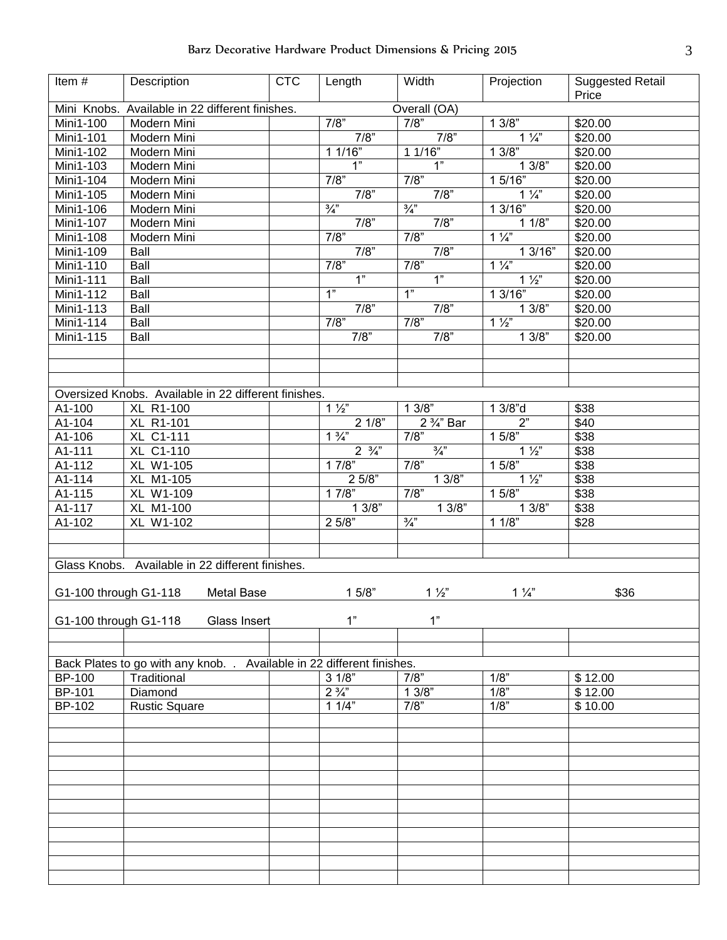| Item#                 | Description                                                            | <b>CTC</b> | Length             | Width            | Projection       | <b>Suggested Retail</b><br>Price |
|-----------------------|------------------------------------------------------------------------|------------|--------------------|------------------|------------------|----------------------------------|
|                       | Mini Knobs. Available in 22 different finishes.                        |            |                    | Overall (OA)     |                  |                                  |
| Mini1-100             | Modern Mini                                                            |            | 7/8                | 7/8"             | 13/8             | \$20.00                          |
| Mini1-101             | Modern Mini                                                            |            | 7/8"               | 7/8"             | $1\frac{1}{4}$   | \$20.00                          |
| Mini1-102             | Modern Mini                                                            |            | 1 1/16"            | 1 1/16"          | 13/8"            | \$20.00                          |
| Mini1-103             | Modern Mini                                                            |            | 1"                 | 1"               | 13/8"            | \$20.00                          |
| Mini1-104             | Modern Mini                                                            |            | $\overline{7/8}$   | 7/8"             | 1 5/16"          | \$20.00                          |
| Mini1-105             | Modern Mini                                                            |            | 7/8"               | 7/8"             | $1\frac{1}{4}$   | \$20.00                          |
| Mini1-106             | Modern Mini                                                            |            | $\frac{3}{4}$ "    | $\frac{3}{4}$    | 1 3/16"          | \$20.00                          |
| Mini1-107             | Modern Mini                                                            |            | 7/8                | 7/8"             | 11/8"            | \$20.00                          |
| Mini1-108             | Modern Mini                                                            |            | 7/8"               | 7/8"             | $1\frac{1}{4}$   | \$20.00                          |
| Mini1-109             | Ball                                                                   |            | 7/8                | 7/8"             | 1 3/16"          | \$20.00                          |
| Mini1-110             | Ball                                                                   |            | $\overline{7/8}$   | $\overline{7/8}$ | $1\frac{1}{4}$   | \$20.00                          |
| Mini1-111             | Ball                                                                   |            | 1"                 | 1"               | $1\frac{1}{2}$   | \$20.00                          |
| Mini1-112             | Ball                                                                   |            | 1"                 | 1"               | 13/16            | \$20.00                          |
| Mini1-113             | Ball                                                                   |            | 7/8"               | 7/8"             | 13/8"            | \$20.00                          |
| Mini1-114             | Ball                                                                   |            | $\overline{7/8}$   | 7/8"             | $1\frac{1}{2}$   | \$20.00                          |
| Mini1-115             | Ball                                                                   |            | 7/8"               | 7/8"             | 13/8"            | \$20.00                          |
|                       |                                                                        |            |                    |                  |                  |                                  |
|                       |                                                                        |            |                    |                  |                  |                                  |
|                       |                                                                        |            |                    |                  |                  |                                  |
|                       | Oversized Knobs. Available in 22 different finishes.                   |            |                    |                  |                  |                                  |
| A1-100                | XL R1-100                                                              |            | $1\frac{1}{2}$     | 13/8"            | 1 3/8"d          | \$38                             |
| A1-104                | <b>XL R1-101</b>                                                       |            | 21/8"              | 2 3/4" Bar       | 2"               | \$40                             |
| A1-106                | <b>XL C1-111</b>                                                       |            | $1\frac{3}{4}$     | 7/8"             | 15/8"            | \$38                             |
| A1-111                | <b>XL C1-110</b>                                                       |            | $2 \frac{3}{4}$    | $\frac{3}{4}$    | $1\frac{1}{2}$   | \$38                             |
| A1-112                | XL W1-105                                                              |            | 17/8"              | 7/8"             | 15/8"            | \$38                             |
| A1-114                | XL M1-105                                                              |            | 25/8"              | 13/8"            | $1\frac{1}{2}$   | \$38                             |
| A1-115                | XL W1-109                                                              |            | 17/8"              | 7/8"             | 15/8"            | \$38                             |
| A1-117                | XL M1-100                                                              |            | 13/8"              | 13/8"            | 13/8"            | \$38                             |
| A1-102                | XL W1-102                                                              |            | 25/8"              | $\frac{3}{4}$    | 11/8"            | \$28                             |
|                       |                                                                        |            |                    |                  |                  |                                  |
|                       |                                                                        |            |                    |                  |                  |                                  |
|                       | Glass Knobs. Available in 22 different finishes.                       |            |                    |                  |                  |                                  |
| G1-100 through G1-118 | <b>Metal Base</b>                                                      |            | 15/8"              | $1\frac{1}{2}$   | $1\frac{1}{4}$   | \$36                             |
|                       |                                                                        |            |                    |                  |                  |                                  |
| G1-100 through G1-118 | Glass Insert                                                           |            | 1"                 | 1"               |                  |                                  |
|                       |                                                                        |            |                    |                  |                  |                                  |
|                       |                                                                        |            |                    |                  |                  |                                  |
|                       | Back Plates to go with any knob. . Available in 22 different finishes. |            |                    |                  |                  |                                  |
| <b>BP-100</b>         | Traditional                                                            |            | $3 \overline{1/8}$ | 7/8"             | 1/8"             | \$12.00                          |
| <b>BP-101</b>         | Diamond                                                                |            | $2\frac{3}{4}$     | 13/8"            | $\overline{1/8}$ | \$12.00                          |
| BP-102                | <b>Rustic Square</b>                                                   |            | 11/4"              | 7/8"             | 1/8"             | \$10.00                          |
|                       |                                                                        |            |                    |                  |                  |                                  |
|                       |                                                                        |            |                    |                  |                  |                                  |
|                       |                                                                        |            |                    |                  |                  |                                  |
|                       |                                                                        |            |                    |                  |                  |                                  |
|                       |                                                                        |            |                    |                  |                  |                                  |
|                       |                                                                        |            |                    |                  |                  |                                  |
|                       |                                                                        |            |                    |                  |                  |                                  |
|                       |                                                                        |            |                    |                  |                  |                                  |
|                       |                                                                        |            |                    |                  |                  |                                  |
|                       |                                                                        |            |                    |                  |                  |                                  |
|                       |                                                                        |            |                    |                  |                  |                                  |
|                       |                                                                        |            |                    |                  |                  |                                  |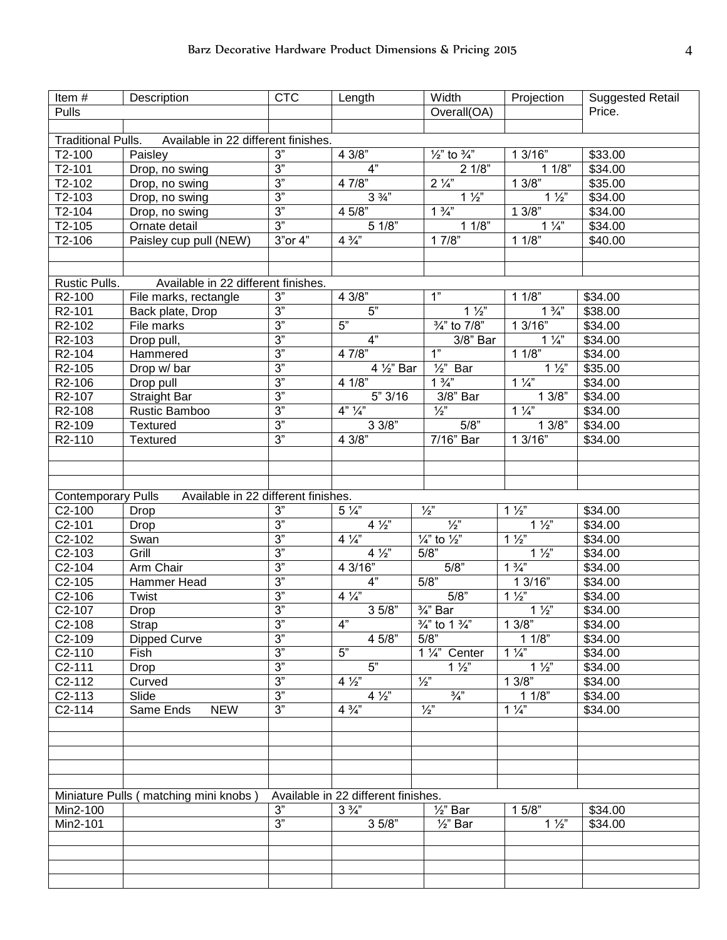| Item#                     | Description                           | <b>CTC</b> | Length                              | Width                                | Projection     | <b>Suggested Retail</b> |
|---------------------------|---------------------------------------|------------|-------------------------------------|--------------------------------------|----------------|-------------------------|
| Pulls                     |                                       |            |                                     | Overall(OA)                          |                | Price.                  |
|                           |                                       |            |                                     |                                      |                |                         |
| <b>Traditional Pulls.</b> | Available in 22 different finishes.   |            |                                     |                                      |                |                         |
| T2-100                    | Paisley                               | 3"         | 4 3/8"                              | $\frac{1}{2}$ " to $\frac{3}{4}$ "   | 1 3/16"        | \$33.00                 |
| $T2-101$                  | Drop, no swing                        | 3"         | 4"                                  | 21/8"                                | 11/8"          | \$34.00                 |
| T2-102                    | Drop, no swing                        | 3"         | 4 7/8"                              | $2\frac{1}{4}$                       | 13/8"          | \$35.00                 |
| T2-103                    | Drop, no swing                        | 3"         | $3\frac{3}{4}$                      | $1\frac{1}{2}$                       | $1\frac{1}{2}$ | \$34.00                 |
| T2-104                    | Drop, no swing                        | 3"         | 4 5/8"                              | $1\frac{3}{4}$                       | 13/8"          | \$34.00                 |
| $T2-105$                  | Ornate detail                         | 3"         | 51/8"                               | 11/8"                                | $1\frac{1}{4}$ | \$34.00                 |
| T2-106                    | Paisley cup pull (NEW)                | 3"or 4"    | $4\frac{3}{4}$                      | 17/8"                                | 11/8           | \$40.00                 |
|                           |                                       |            |                                     |                                      |                |                         |
|                           |                                       |            |                                     |                                      |                |                         |
| Rustic Pulls.             | Available in 22 different finishes.   |            |                                     |                                      |                |                         |
| R2-100                    | File marks, rectangle                 | 3"         | 4 3/8"                              | 1"                                   | 11/8"          | \$34.00                 |
| R2-101                    | Back plate, Drop                      | 3"         | 5"                                  | $1\frac{1}{2}$                       | $1\frac{3}{4}$ | \$38.00                 |
| R2-102                    | File marks                            | 3"         | 5"                                  | $\frac{3}{4}$ " to 7/8"              | 1 3/16"        | \$34.00                 |
| R2-103                    | Drop pull,                            | 3"         | 4"                                  | $3/8$ " Bar                          | $1\frac{1}{4}$ | \$34.00                 |
| R2-104                    | Hammered                              | 3"         | 4 7/8"                              | 1"                                   | 11/8           | \$34.00                 |
| R2-105                    | Drop w/ bar                           | 3"         | 4 1/ <sub>2</sub> " Bar             | $\frac{1}{2}$ " Bar                  | $1\frac{1}{2}$ | \$35.00                 |
| R2-106                    | Drop pull                             | 3"         | 41/8"                               | $1\frac{3}{4}$                       | $1\frac{1}{4}$ | \$34.00                 |
| R <sub>2</sub> -107       | Straight Bar                          | 3"         | 5"3/16                              | 3/8" Bar                             | 13/8"          | \$34.00                 |
| R2-108                    | Rustic Bamboo                         | 3"         | $4"$ $\frac{1}{4"}$                 | $\frac{1}{2}$                        | $1\frac{1}{4}$ | \$34.00                 |
| R2-109                    | Textured                              | 3"         | 33/8"                               | 5/8"                                 | 13/8"          | \$34.00                 |
| R2-110                    | Textured                              | 3"         | 43/8"                               | 7/16" Bar                            | 1 3/16"        | \$34.00                 |
|                           |                                       |            |                                     |                                      |                |                         |
|                           |                                       |            |                                     |                                      |                |                         |
|                           |                                       |            |                                     |                                      |                |                         |
| <b>Contemporary Pulls</b> | Available in 22 different finishes.   |            |                                     |                                      |                |                         |
| $C2-100$                  | Drop                                  | 3"         | $5\frac{1}{4}$                      | $\frac{1}{2}$                        | $1\frac{1}{2}$ | \$34.00                 |
| $C2-101$                  | Drop                                  | 3"         | $4\frac{1}{2}$                      | $\frac{1}{2}$                        | $1\frac{1}{2}$ | \$34.00                 |
| $C2-102$                  | Swan                                  | 3"         | $4\frac{1}{4}$                      | $\frac{1}{4}$ to $\frac{1}{2}$       | $1\frac{1}{2}$ | \$34.00                 |
| $C2-103$                  | Grill                                 | 3"         | $4\frac{1}{2}$                      | 5/8"                                 | $1\frac{1}{2}$ | \$34.00                 |
| $C2 - 104$                | Arm Chair                             | 3"         | 43/16"                              | 5/8"                                 | $1\frac{3}{4}$ | \$34.00                 |
| $C2-105$                  | Hammer Head                           | 3"         | 4"                                  | 5/8"                                 | 13/16"         | \$34.00                 |
| $C2-106$                  | Twist                                 | 3"         | $4\frac{1}{4}$                      | 5/8"                                 | $1\frac{1}{2}$ | \$34.00                 |
| $C2-107$                  | Drop                                  | 3"         | 35/8"                               | $\frac{3}{4}$ " Bar                  | $1\frac{1}{2}$ | \$34.00                 |
| C <sub>2</sub> -108       | Strap                                 | 3"         | 4"                                  | $\frac{3}{4}$ " to 1 $\frac{3}{4}$ " | 13/8"          | \$34.00                 |
| C2-109                    | <b>Dipped Curve</b>                   | 3"         | 4 5/8"                              | 5/8"                                 | 11/8"          | \$34.00                 |
| $C2-110$                  | Fish                                  | 3"         | 5"                                  | 1 1/4" Center                        | $1\frac{1}{4}$ | \$34.00                 |
| $C2-111$                  | Drop                                  | 3"         | 5"                                  | $1\frac{1}{2}$                       | $1\frac{1}{2}$ | \$34.00                 |
| $C2-112$                  | Curved                                | 3"         | $4\frac{1}{2}$                      | $\frac{1}{2}$                        | 13/8"          | \$34.00                 |
| $C2-113$                  | Slide                                 | 3"         | $4\frac{1}{2}$                      | $\frac{3}{4}$                        | 11/8"          | \$34.00                 |
| $C2-114$                  | <b>NEW</b><br>Same Ends               | 3"         | $4\frac{3}{4}$                      | $\frac{1}{2}$                        | $1\frac{1}{4}$ | \$34.00                 |
|                           |                                       |            |                                     |                                      |                |                         |
|                           |                                       |            |                                     |                                      |                |                         |
|                           |                                       |            |                                     |                                      |                |                         |
|                           |                                       |            |                                     |                                      |                |                         |
|                           |                                       |            |                                     |                                      |                |                         |
|                           | Miniature Pulls (matching mini knobs) |            | Available in 22 different finishes. |                                      |                |                         |
| Min2-100                  |                                       | 3"         | $3\frac{3}{4}$                      | $\frac{1}{2}$ " Bar                  | 15/8"          | \$34.00                 |
| Min2-101                  |                                       | 3"         | 35/8"                               | $\frac{1}{2}$ " Bar                  | $1\frac{1}{2}$ | \$34.00                 |
|                           |                                       |            |                                     |                                      |                |                         |
|                           |                                       |            |                                     |                                      |                |                         |
|                           |                                       |            |                                     |                                      |                |                         |
|                           |                                       |            |                                     |                                      |                |                         |
|                           |                                       |            |                                     |                                      |                |                         |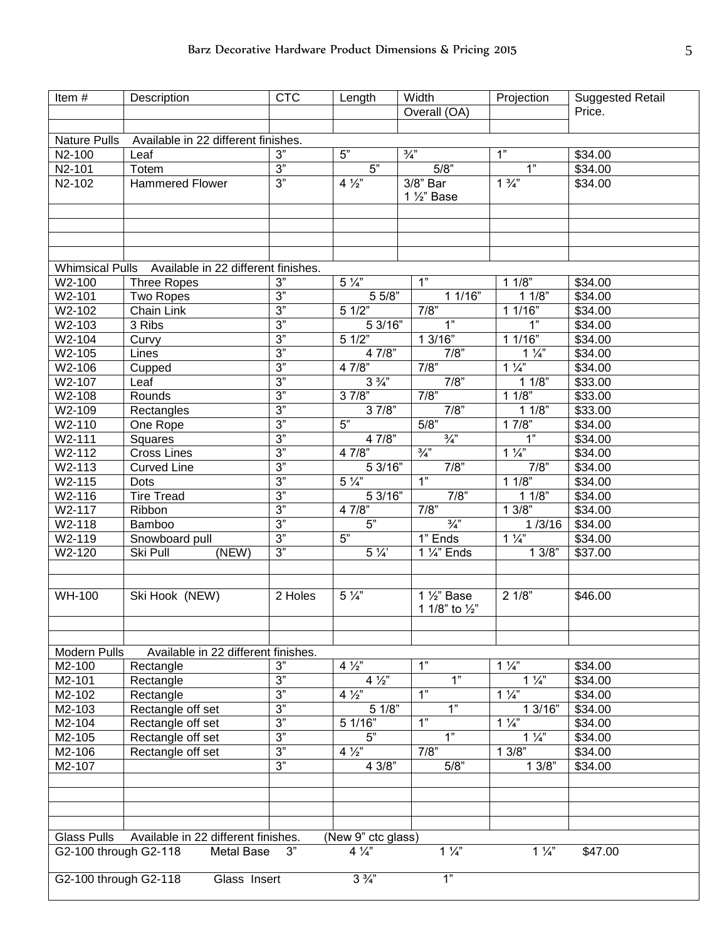| Item #                | Description                                         | <b>CTC</b> | Length             | Width                  | Projection     | <b>Suggested Retail</b> |  |
|-----------------------|-----------------------------------------------------|------------|--------------------|------------------------|----------------|-------------------------|--|
|                       |                                                     |            |                    | Overall (OA)           |                | Price.                  |  |
|                       |                                                     |            |                    |                        |                |                         |  |
| <b>Nature Pulls</b>   | Available in 22 different finishes.                 |            |                    |                        |                |                         |  |
| N2-100                | Leaf                                                | 3"         | 5"                 | $\frac{3}{4}$          | 1"             | \$34.00                 |  |
| N2-101                | Totem                                               | 3"         | 5"                 | 5/8"                   | 1"             | \$34.00                 |  |
| N2-102                | <b>Hammered Flower</b>                              | 3"         | $4\frac{1}{2}$     | 3/8" Bar               | $1\frac{3}{4}$ | \$34.00                 |  |
|                       |                                                     |            |                    | 1 1/2" Base            |                |                         |  |
|                       |                                                     |            |                    |                        |                |                         |  |
|                       |                                                     |            |                    |                        |                |                         |  |
|                       |                                                     |            |                    |                        |                |                         |  |
|                       |                                                     |            |                    |                        |                |                         |  |
|                       | Whimsical Pulls Available in 22 different finishes. |            |                    |                        |                |                         |  |
| W2-100                | <b>Three Ropes</b>                                  | 3"         | $5\frac{1}{4}$     | 1"                     | 11/8"          | \$34.00                 |  |
| W2-101                |                                                     | 3"         | 5 5/8"             | 11/16"                 | 11/8"          | \$34.00                 |  |
|                       | <b>Two Ropes</b>                                    | 3"         |                    |                        |                |                         |  |
| W2-102                | Chain Link                                          |            | 51/2"              | 7/8"                   | 1 1/16"        | \$34.00                 |  |
| W2-103                | 3 Ribs                                              | 3"         | 5 3/16"            | 1"                     | 1"             | \$34.00                 |  |
| W2-104                | Curvy                                               | 3"         | 51/2"              | 13/16"                 | 11/16"         | \$34.00                 |  |
| W2-105                | Lines                                               | 3"         | 4 7/8"             | 7/8"                   | $1\frac{1}{4}$ | \$34.00                 |  |
| W2-106                | Cupped                                              | 3"         | 4 7/8"             | 7/8"                   | $1\frac{1}{4}$ | \$34.00                 |  |
| W2-107                | Leaf                                                | 3"         | $3\frac{3}{4}$ "   | 7/8"                   | 11/8"          | \$33.00                 |  |
| W2-108                | Rounds                                              | 3"         | 3 7/8"             | 7/8"                   | 11/8"          | \$33.00                 |  |
| W2-109                | Rectangles                                          | 3"         | 37/8"              | 7/8"                   | 11/8"          | \$33.00                 |  |
| W2-110                | One Rope                                            | 3"         | 5"                 | 5/8"                   | 17/8"          | \$34.00                 |  |
| W2-111                | Squares                                             | 3"         | 4 7/8"             | $\frac{3}{4}$          | 1"             | \$34.00                 |  |
| W2-112                | <b>Cross Lines</b>                                  | 3"         | 4 7/8"             | $\frac{3}{4}$          | $1\frac{1}{4}$ | \$34.00                 |  |
| W2-113                | <b>Curved Line</b>                                  | 3"         | 53/16              | 7/8"                   | 7/8"           | \$34.00                 |  |
| W2-115                | Dots                                                | 3"         | $5\frac{1}{4}$     | 1"                     | 11/8"          | \$34.00                 |  |
| W2-116                | <b>Tire Tread</b>                                   | 3"         | 53/16"             | 7/8"                   | 11/8"          | \$34.00                 |  |
| W2-117                | Ribbon                                              | 3"         | 4 7/8"             | 7/8"                   | 13/8"          | \$34.00                 |  |
| W2-118                | Bamboo                                              | 3"         | 5"                 | $\frac{3}{4}$          | 1/3/16         | \$34.00                 |  |
| W2-119                | Snowboard pull                                      | 3"         | 5"                 | 1" Ends                | $1\frac{1}{4}$ | \$34.00                 |  |
| W2-120                | Ski Pull<br>(NEW)                                   | 3"         | $5\frac{1}{4}$     | 1 $\frac{1}{4}$ " Ends | 13/8"          | \$37.00                 |  |
|                       |                                                     |            |                    |                        |                |                         |  |
|                       |                                                     |            |                    |                        |                |                         |  |
| <b>WH-100</b>         | Ski Hook (NEW)                                      | 2 Holes    | $5\frac{1}{4}$     | 1 1/2" Base            | 21/8"          | \$46.00                 |  |
|                       |                                                     |            |                    | 1 1/8" to 1/2"         |                |                         |  |
|                       |                                                     |            |                    |                        |                |                         |  |
|                       |                                                     |            |                    |                        |                |                         |  |
| Modern Pulls          | Available in 22 different finishes.                 |            |                    |                        |                |                         |  |
| M2-100                | Rectangle                                           | 3"         | $4\frac{1}{2}$     | $\overline{1}$         | $1\frac{1}{4}$ | \$34.00                 |  |
| M2-101                | Rectangle                                           | 3"         | $4\frac{1}{2}$     | 1"                     | $1\frac{1}{4}$ | \$34.00                 |  |
| M2-102                |                                                     | 3"         | $4\frac{1}{2}$     | 1"                     | $1\frac{1}{4}$ | \$34.00                 |  |
|                       | Rectangle<br>Rectangle off set                      | 3"         | 51/8"              | 1"                     | 13/16"         |                         |  |
| M2-103                |                                                     |            |                    |                        |                | \$34.00                 |  |
| M2-104                | Rectangle off set                                   | 3"         | 51/16"             | 1"                     | $1\frac{1}{4}$ | \$34.00                 |  |
| M2-105                | Rectangle off set                                   | 3"         | 5"                 | 1"                     | $1\frac{1}{4}$ | \$34.00                 |  |
| M2-106                | Rectangle off set                                   | 3"         | $4\frac{1}{2}$     | 7/8"                   | $13/8$ "       | \$34.00                 |  |
| M2-107                |                                                     | 3"         | 4 3/8"             | 5/8"                   | 13/8"          | \$34.00                 |  |
|                       |                                                     |            |                    |                        |                |                         |  |
|                       |                                                     |            |                    |                        |                |                         |  |
|                       |                                                     |            |                    |                        |                |                         |  |
|                       |                                                     |            |                    |                        |                |                         |  |
| <b>Glass Pulls</b>    | Available in 22 different finishes.                 |            | (New 9" ctc glass) |                        |                |                         |  |
| G2-100 through G2-118 | Metal Base                                          | 3"         | $4\frac{1}{4}$     | $1\frac{1}{4}$         | $1\frac{1}{4}$ | \$47.00                 |  |
|                       |                                                     |            |                    |                        |                |                         |  |
| G2-100 through G2-118 | Glass Insert                                        |            | $3\frac{3}{4}$     | 1"                     |                |                         |  |
|                       |                                                     |            |                    |                        |                |                         |  |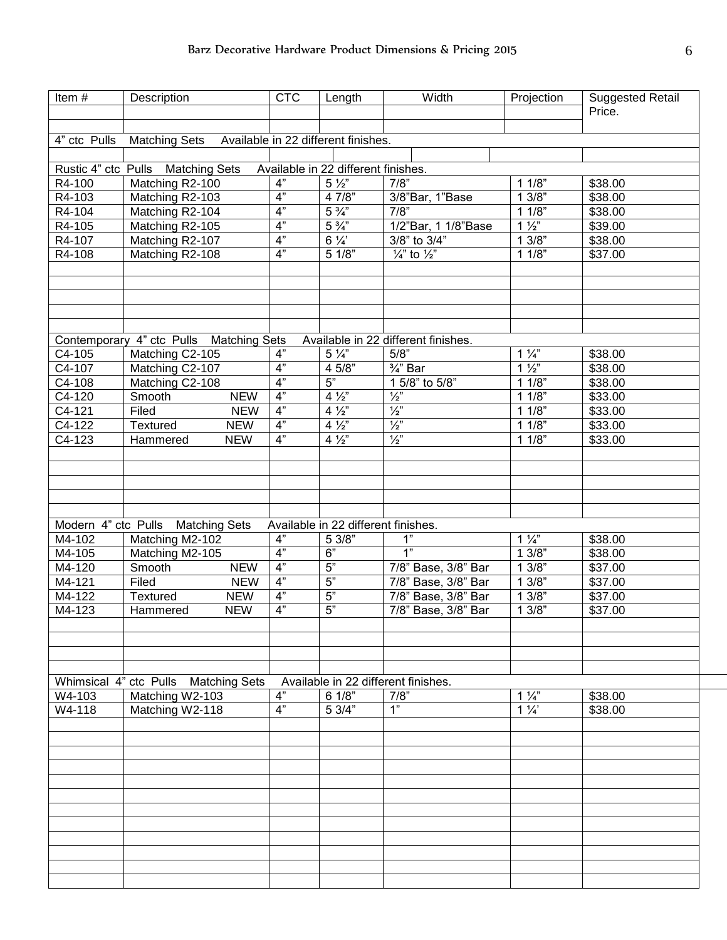| Item#        | Description                                       | <b>CTC</b>     | Length                              | Width                               | Projection     | <b>Suggested Retail</b> |
|--------------|---------------------------------------------------|----------------|-------------------------------------|-------------------------------------|----------------|-------------------------|
|              |                                                   |                |                                     |                                     |                | Price.                  |
|              |                                                   |                |                                     |                                     |                |                         |
| 4" ctc Pulls | Matching Sets Available in 22 different finishes. |                |                                     |                                     |                |                         |
|              |                                                   |                |                                     |                                     |                |                         |
|              | Rustic 4" ctc Pulls Matching Sets                 |                | Available in 22 different finishes. |                                     |                |                         |
| R4-100       | Matching R2-100                                   | 4"             | $5\frac{1}{2}$                      | $\overline{7/8}$                    | 11/8"          | \$38.00                 |
| R4-103       | Matching R2-103                                   | 4"             | 4 7/8"                              | 3/8"Bar, 1"Base                     | 13/8"          | \$38.00                 |
| R4-104       | Matching R2-104                                   | 4"             | $5\frac{3}{4}$                      | $\overline{7/8}$                    | 11/8"          | \$38.00                 |
| R4-105       | Matching R2-105                                   | 4"             | $5\frac{3}{4}$                      | 1/2"Bar, 1 1/8"Base                 | $1\frac{1}{2}$ | \$39.00                 |
| R4-107       | Matching R2-107                                   | $\overline{4}$ | $6\frac{1}{4}$                      | 3/8" to 3/4"                        | 13/8"          | \$38.00                 |
| R4-108       | Matching R2-108                                   | 4"             | 51/8"                               | $\frac{1}{4}$ " to $\frac{1}{2}$ "  | 11/8"          | \$37.00                 |
|              |                                                   |                |                                     |                                     |                |                         |
|              |                                                   |                |                                     |                                     |                |                         |
|              |                                                   |                |                                     |                                     |                |                         |
|              |                                                   |                |                                     |                                     |                |                         |
|              |                                                   |                |                                     |                                     |                |                         |
|              | Contemporary 4" ctc Pulls Matching Sets           |                |                                     | Available in 22 different finishes. |                |                         |
| $C4-105$     | Matching C2-105                                   | 4"             | $5\frac{1}{4}$                      | 5/8"                                | $1\frac{1}{4}$ | \$38.00                 |
| $C4 - 107$   | Matching C2-107                                   | 4"             | 45/8"                               | $\frac{3}{4}$ " Bar                 | $1\frac{1}{2}$ | \$38.00                 |
| C4-108       | Matching C2-108                                   | 4"             | 5"                                  | 1 5/8" to 5/8"                      | 11/8"          | \$38.00                 |
| $C4-120$     | Smooth<br><b>NEW</b>                              | 4"             | $4\frac{1}{2}$                      | $\frac{1}{2}$                       | 11/8"          | \$33.00                 |
| $C4 - 121$   | Filed<br><b>NEW</b>                               | 4"             | $4\frac{1}{2}$                      | $\frac{1}{2}$                       | 11/8"          | \$33.00                 |
| C4-122       | <b>Textured</b><br><b>NEW</b>                     | 4"             | $4\frac{1}{2}$                      | $\frac{1}{2}$                       | 11/8"          | \$33.00                 |
| $C4-123$     | <b>Hammered</b><br><b>NEW</b>                     | 4"             | $4\frac{1}{2}$                      | $\frac{1}{2}$                       | 11/8"          | \$33.00                 |
|              |                                                   |                |                                     |                                     |                |                         |
|              |                                                   |                |                                     |                                     |                |                         |
|              |                                                   |                |                                     |                                     |                |                         |
|              |                                                   |                |                                     |                                     |                |                         |
|              |                                                   |                |                                     |                                     |                |                         |
|              | Modern 4" ctc Pulls Matching Sets                 |                | Available in 22 different finishes. |                                     |                |                         |
| M4-102       | Matching M2-102                                   | 4"             | 5 3/8"                              | 1"                                  | $1\frac{1}{4}$ | \$38.00                 |
| M4-105       | Matching M2-105                                   | 4"             | 6"                                  | 1"                                  | 13/8"          | \$38.00                 |
| M4-120       | Smooth<br><b>NEW</b>                              | 4"             | 5"                                  | 7/8" Base, 3/8" Bar                 | $3/8$ "        | \$37.00                 |
| M4-121       | Filed<br><b>NEW</b>                               | 4"             | 5"                                  | 7/8" Base, 3/8" Bar                 | $3/8$ "        | \$37.00                 |
| M4-122       | <b>Textured</b><br><b>NEW</b>                     | 4"             | 5"                                  | 7/8" Base, 3/8" Bar                 | 3/8"           | \$37.00                 |
| M4-123       | <b>Hammered</b><br><b>NEW</b>                     | 4"             | 5"                                  | 7/8" Base, 3/8" Bar                 | 13/8"          | \$37.00                 |
|              |                                                   |                |                                     |                                     |                |                         |
|              |                                                   |                |                                     |                                     |                |                         |
|              |                                                   |                |                                     |                                     |                |                         |
|              |                                                   |                |                                     |                                     |                |                         |
|              | Whimsical 4" ctc Pulls Matching Sets              |                |                                     | Available in 22 different finishes. |                |                         |
| W4-103       | Matching W2-103                                   | 4"             | 6 1/8"                              | $\overline{7/8}$                    | $1\frac{1}{4}$ | \$38.00                 |
| $W4-118$     | Matching W2-118                                   | 4"             | 5 3/4"                              | 1"                                  | $1\frac{1}{4}$ | \$38.00                 |
|              |                                                   |                |                                     |                                     |                |                         |
|              |                                                   |                |                                     |                                     |                |                         |
|              |                                                   |                |                                     |                                     |                |                         |
|              |                                                   |                |                                     |                                     |                |                         |
|              |                                                   |                |                                     |                                     |                |                         |
|              |                                                   |                |                                     |                                     |                |                         |
|              |                                                   |                |                                     |                                     |                |                         |
|              |                                                   |                |                                     |                                     |                |                         |
|              |                                                   |                |                                     |                                     |                |                         |
|              |                                                   |                |                                     |                                     |                |                         |
|              |                                                   |                |                                     |                                     |                |                         |
|              |                                                   |                |                                     |                                     |                |                         |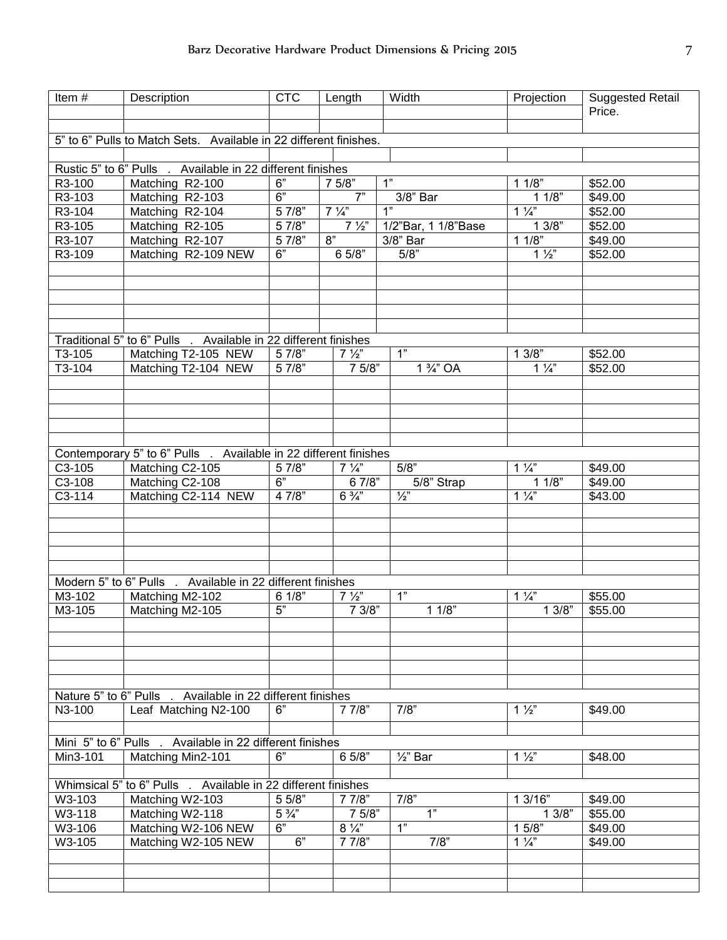| Item#      | Description                                                       | <b>CTC</b>           | Length            | Width                  | Projection         | <b>Suggested Retail</b> |
|------------|-------------------------------------------------------------------|----------------------|-------------------|------------------------|--------------------|-------------------------|
|            |                                                                   |                      |                   |                        |                    | Price.                  |
|            |                                                                   |                      |                   |                        |                    |                         |
|            | 5" to 6" Pulls to Match Sets. Available in 22 different finishes. |                      |                   |                        |                    |                         |
|            |                                                                   |                      |                   |                        |                    |                         |
|            | Rustic 5" to 6" Pulls . Available in 22 different finishes        |                      |                   |                        |                    |                         |
| R3-100     | Matching R2-100                                                   | 6"                   | 7 5/8"            | 1"                     | 11/8"              | \$52.00                 |
| R3-103     | Matching R2-103                                                   | 6"                   | $\overline{7}$    | 3/8" Bar               | 11/8"              | \$49.00                 |
| R3-104     | Matching R2-104                                                   | 5 7/8"               | $7\frac{1}{4}$    |                        | $1\frac{1}{4}$     | \$52.00                 |
| R3-105     | Matching R2-105                                                   | 57/8"                | $7\frac{1}{2}$    | 1/2"Bar, 1 1/8"Base    | 13/8"              | \$52.00                 |
| R3-107     | Matching R2-107                                                   | 57/8"                | 8"                | 3/8" Bar               | 11/8"              | \$49.00                 |
| R3-109     | Matching R2-109 NEW                                               | 6"                   | 65/8"             | 5/8"                   | $1\frac{1}{2}$     | \$52.00                 |
|            |                                                                   |                      |                   |                        |                    |                         |
|            |                                                                   |                      |                   |                        |                    |                         |
|            |                                                                   |                      |                   |                        |                    |                         |
|            |                                                                   |                      |                   |                        |                    |                         |
|            |                                                                   |                      |                   |                        |                    |                         |
|            | Traditional 5" to 6" Pulls . Available in 22 different finishes   |                      |                   |                        |                    |                         |
| T3-105     | Matching T2-105 NEW                                               | 5 7/8"               | $7\frac{1}{2}$    | 1"                     | 13/8"              | \$52.00                 |
| T3-104     | Matching T2-104 NEW                                               | 57/8"                | 75/8"             | $1\frac{3}{4}$ " OA    | $1\frac{1}{4}$     | \$52.00                 |
|            |                                                                   |                      |                   |                        |                    |                         |
|            |                                                                   |                      |                   |                        |                    |                         |
|            |                                                                   |                      |                   |                        |                    |                         |
|            |                                                                   |                      |                   |                        |                    |                         |
|            |                                                                   |                      |                   |                        |                    |                         |
|            | Contemporary 5" to 6" Pulls . Available in 22 different finishes  |                      |                   |                        |                    |                         |
| C3-105     | Matching C2-105                                                   | 5 7/8"               | $7\frac{1}{4}$    | 5/8"                   | $1\frac{7}{4}$     | \$49.00                 |
| C3-108     | Matching C2-108                                                   | 6"                   | $6\overline{7/8}$ | 5/8" Strap             | 11/8"              | \$49.00                 |
| $C3 - 114$ | Matching C2-114 NEW                                               | 47/8"                | $6\frac{3}{4}$    | $\frac{1}{2}$          | $1\frac{1}{4}$     | \$43.00                 |
|            |                                                                   |                      |                   |                        |                    |                         |
|            |                                                                   |                      |                   |                        |                    |                         |
|            |                                                                   |                      |                   |                        |                    |                         |
|            |                                                                   |                      |                   |                        |                    |                         |
|            | Modern 5" to 6" Pulls . Available in 22 different finishes        |                      |                   |                        |                    |                         |
| M3-102     |                                                                   |                      | $7\frac{1}{2}$    | 1"                     | $1\frac{1}{4}$     |                         |
| M3-105     | Matching M2-102                                                   | 6 1/8"<br>5"         | 73/8"             | 11/8"                  | 13/8"              | \$55.00<br>\$55.00      |
|            | Matching M2-105                                                   |                      |                   |                        |                    |                         |
|            |                                                                   |                      |                   |                        |                    |                         |
|            |                                                                   |                      |                   |                        |                    |                         |
|            |                                                                   |                      |                   |                        |                    |                         |
|            |                                                                   |                      |                   |                        |                    |                         |
|            | Nature 5" to 6" Pulls . Available in 22 different finishes        |                      |                   |                        |                    |                         |
| N3-100     | Leaf Matching N2-100                                              | 6"                   | 7 7/8"            | 7/8"                   | $1\frac{1}{2}$     | \$49.00                 |
|            |                                                                   |                      |                   |                        |                    |                         |
|            |                                                                   |                      |                   |                        |                    |                         |
|            | Mini 5" to 6" Pulls . Available in 22 different finishes          |                      |                   |                        |                    |                         |
| Min3-101   | Matching Min2-101                                                 | 6"                   | 6 5/8"            | $\frac{1}{2}$ " Bar    | $1\frac{1}{2}$     | \$48.00                 |
|            |                                                                   |                      |                   |                        |                    |                         |
|            | Whimsical 5" to 6" Pulls . Available in 22 different finishes     |                      |                   |                        |                    |                         |
| W3-103     | Matching W2-103                                                   | 55/8"                | 7 7/8"            | $\overline{7/8}$<br>1" | $1\overline{3/16}$ | \$49.00                 |
| $W3-118$   | Matching W2-118                                                   | $5\frac{3}{4}$<br>6" | 7 5/8"            | 1"                     | 13/8               | \$55.00                 |
| W3-106     | Matching W2-106 NEW                                               | 6"                   | $8\frac{1}{4}$    |                        | 15/8               | \$49.00                 |
| W3-105     | Matching W2-105 NEW                                               |                      | $7\sqrt{7/8}$     | 7/8"                   | $1\frac{1}{4}$     | \$49.00                 |
|            |                                                                   |                      |                   |                        |                    |                         |
|            |                                                                   |                      |                   |                        |                    |                         |
|            |                                                                   |                      |                   |                        |                    |                         |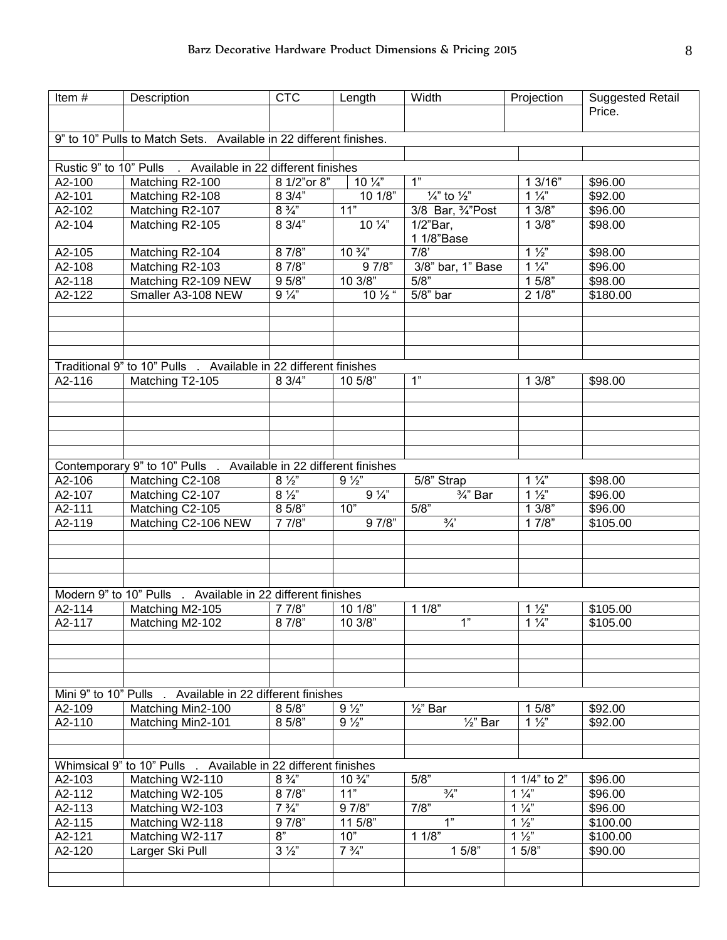| Item#                     | Description                                                        | <b>CTC</b>                         | Length                             | Width                              | Projection     | <b>Suggested Retail</b> |
|---------------------------|--------------------------------------------------------------------|------------------------------------|------------------------------------|------------------------------------|----------------|-------------------------|
|                           |                                                                    |                                    |                                    |                                    |                | Price.                  |
|                           |                                                                    |                                    |                                    |                                    |                |                         |
|                           | 9" to 10" Pulls to Match Sets. Available in 22 different finishes. |                                    |                                    |                                    |                |                         |
|                           |                                                                    |                                    |                                    |                                    |                |                         |
| Rustic 9" to 10" Pulls    | . Available in 22 different finishes                               |                                    |                                    |                                    |                |                         |
| A2-100                    | Matching R2-100                                                    | 8 1/2" or 8"                       | $10\frac{1}{4}$                    | 1"                                 | 13/16          | \$96.00                 |
| A2-101                    | Matching R2-108                                                    | 83/4"                              | 10 1/8"                            | $\frac{1}{4}$ " to $\frac{1}{2}$ " | $1\frac{1}{4}$ | \$92.00                 |
| A2-102                    | Matching R2-107                                                    | $8\frac{3}{4}$                     | 11"                                | 3/8 Bar, 3/4"Post                  | 13/8"          | \$96.00                 |
| A2-104                    | Matching R2-105                                                    | 83/4"                              | $10\frac{1}{4}$                    | $1/2$ "Bar,<br>1 1/8"Base          | 13/8"          | \$98.00                 |
| A2-105                    | Matching R2-104                                                    | 8 7/8"                             | $10\frac{3}{4}$                    | $\overline{7/8}$                   | $1\frac{1}{2}$ | \$98.00                 |
| A2-108                    | Matching R2-103                                                    | 8 7/8"                             | 9 7/8"                             | 3/8" bar, 1" Base                  | $1\frac{1}{4}$ | \$96.00                 |
| A2-118                    | Matching R2-109 NEW                                                | 95/8"                              | 10 3/8"                            | $5/8$ "                            | 15/8"          | \$98.00                 |
| A2-122                    | Smaller A3-108 NEW                                                 | $9\frac{1}{4}$                     | $10\frac{1}{2}$ "                  | $5/8$ " bar                        | 21/8"          | \$180.00                |
|                           |                                                                    |                                    |                                    |                                    |                |                         |
|                           |                                                                    |                                    |                                    |                                    |                |                         |
|                           |                                                                    |                                    |                                    |                                    |                |                         |
|                           |                                                                    |                                    |                                    |                                    |                |                         |
|                           | Traditional 9" to 10" Pulls . Available in 22 different finishes   |                                    |                                    |                                    |                |                         |
| A2-116                    | Matching T2-105                                                    | 8 3/4"                             | 10 5/8"                            | 1"                                 | 13/8"          | \$98.00                 |
|                           |                                                                    |                                    |                                    |                                    |                |                         |
|                           |                                                                    |                                    |                                    |                                    |                |                         |
|                           |                                                                    |                                    |                                    |                                    |                |                         |
|                           |                                                                    |                                    |                                    |                                    |                |                         |
|                           |                                                                    |                                    |                                    |                                    |                |                         |
|                           | Contemporary 9" to 10" Pulls .                                     |                                    | Available in 22 different finishes |                                    |                |                         |
| A2-106                    | Matching C2-108                                                    | $8\frac{1}{2}$                     | $9\frac{1}{2}$                     | $\overline{5}/8$ " Strap           | $1\frac{1}{4}$ | \$98.00                 |
| A2-107                    | Matching C2-107                                                    | $8\frac{1}{2}$                     | $9\frac{1}{4}$                     | $\frac{3}{4}$ " Bar                | $1\frac{1}{2}$ | \$96.00                 |
| A2-111                    | Matching C2-105                                                    | 85/8"                              | 10"                                | 5/8"                               | 13/8"          | \$96.00                 |
| A2-119                    | Matching C2-106 NEW                                                | 77/8"                              | 9 7/8"                             | $\frac{3}{4}$                      | 17/8"          | \$105.00                |
|                           |                                                                    |                                    |                                    |                                    |                |                         |
|                           |                                                                    |                                    |                                    |                                    |                |                         |
|                           |                                                                    |                                    |                                    |                                    |                |                         |
|                           |                                                                    |                                    |                                    |                                    |                |                         |
| Modern 9" to 10" Pulls    | . Available in 22 different finishes                               |                                    |                                    |                                    |                |                         |
| A2-114                    | Matching M2-105                                                    | 7 7/8"                             | 10 1/8"                            | 11/8"                              | $1\frac{1}{2}$ | \$105.00                |
| A2-117                    | Matching M2-102                                                    | 8 7/8"                             | 10 3/8"                            | 1"                                 | $1\frac{1}{4}$ | \$105.00                |
|                           |                                                                    |                                    |                                    |                                    |                |                         |
|                           |                                                                    |                                    |                                    |                                    |                |                         |
|                           |                                                                    |                                    |                                    |                                    |                |                         |
|                           |                                                                    |                                    |                                    |                                    |                |                         |
| Mini 9" to 10" Pulls      | Available in 22 different finishes                                 |                                    |                                    |                                    |                |                         |
| A2-109                    | Matching Min2-100                                                  | 8 5/8"                             | $9\frac{1}{2}$                     | $\frac{1}{2}$ " Bar                | 15/8"          | \$92.00                 |
| A2-110                    | Matching Min2-101                                                  | 8 5/8"                             | $9\frac{1}{2}$                     | $\overline{\frac{1}{2}}$ Bar       | $1\frac{1}{2}$ | \$92.00                 |
|                           |                                                                    |                                    |                                    |                                    |                |                         |
|                           |                                                                    |                                    |                                    |                                    |                |                         |
| Whimsical 9" to 10" Pulls |                                                                    | Available in 22 different finishes |                                    |                                    |                |                         |
| A2-103                    | Matching W2-110                                                    | $8\frac{3}{4}$ "                   | $10\frac{3}{4}$                    | 5/8                                | 1 1/4" to 2"   | \$96.00                 |
| A2-112                    | Matching W2-105                                                    | 8 7/8"                             | 11"                                | $\frac{3}{4}$                      | $1\frac{1}{4}$ | \$96.00                 |
| A2-113                    | Matching W2-103                                                    | $7\frac{3}{4}$                     | 9 7/8"                             | 7/8"                               | $1\frac{1}{4}$ | \$96.00                 |
| A2-115                    | Matching W2-118                                                    | 9 7/8"                             | 11 5/8"                            | 1"                                 | $1\frac{1}{2}$ | \$100.00                |
| A2-121                    | Matching W2-117                                                    | 8"                                 | 10"                                | $1 \overline{1/8}$                 | $1\frac{1}{2}$ | \$100.00                |
| A2-120                    | Larger Ski Pull                                                    | $3\frac{1}{2}$                     | $7\frac{3}{4}$                     | 15/8"                              | 15/8"          | \$90.00                 |
|                           |                                                                    |                                    |                                    |                                    |                |                         |
|                           |                                                                    |                                    |                                    |                                    |                |                         |
|                           |                                                                    |                                    |                                    |                                    |                |                         |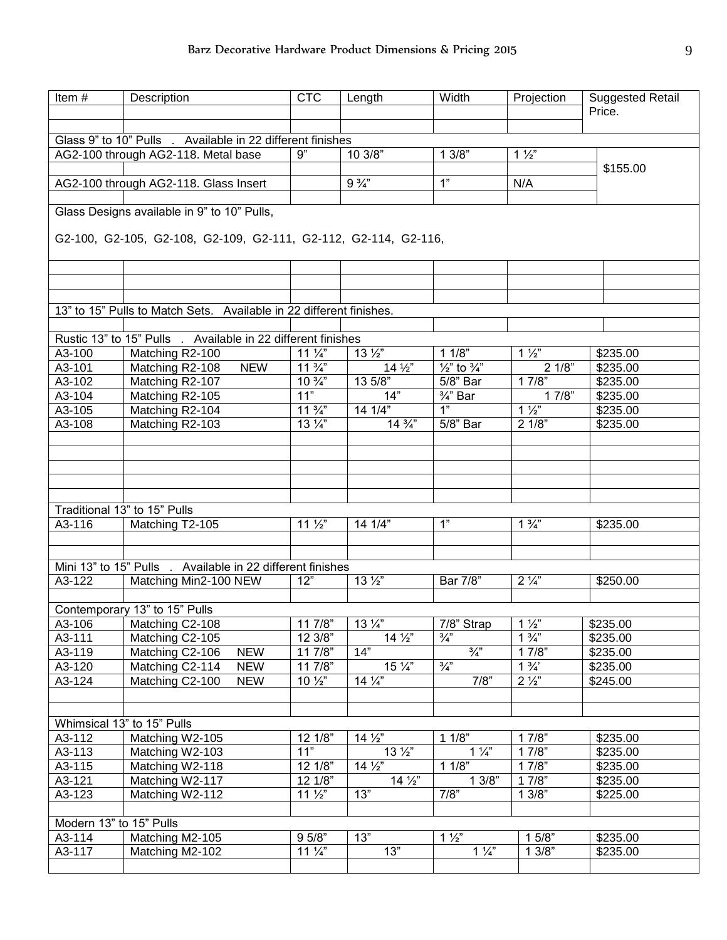| Item#                      | Description                                                         | <b>CTC</b>       | Length              | Width                            | Projection     | <b>Suggested Retail</b> |
|----------------------------|---------------------------------------------------------------------|------------------|---------------------|----------------------------------|----------------|-------------------------|
|                            |                                                                     |                  |                     |                                  |                | Price.                  |
|                            |                                                                     |                  |                     |                                  |                |                         |
|                            | Glass 9" to 10" Pulls . Available in 22 different finishes          |                  |                     |                                  |                |                         |
|                            | AG2-100 through AG2-118. Metal base                                 | 9"               | 103/8"              | 13/8"                            | $1\frac{1}{2}$ |                         |
|                            |                                                                     |                  |                     |                                  |                | \$155.00                |
|                            | AG2-100 through AG2-118. Glass Insert                               |                  | $9\frac{3}{4}$      | 1"                               | N/A            |                         |
|                            |                                                                     |                  |                     |                                  |                |                         |
|                            | Glass Designs available in 9" to 10" Pulls,                         |                  |                     |                                  |                |                         |
|                            |                                                                     |                  |                     |                                  |                |                         |
|                            | G2-100, G2-105, G2-108, G2-109, G2-111, G2-112, G2-114, G2-116,     |                  |                     |                                  |                |                         |
|                            |                                                                     |                  |                     |                                  |                |                         |
|                            |                                                                     |                  |                     |                                  |                |                         |
|                            |                                                                     |                  |                     |                                  |                |                         |
|                            | 13" to 15" Pulls to Match Sets. Available in 22 different finishes. |                  |                     |                                  |                |                         |
|                            |                                                                     |                  |                     |                                  |                |                         |
|                            | Rustic 13" to 15" Pulls . Available in 22 different finishes        |                  |                     |                                  |                |                         |
| A3-100                     | Matching R2-100                                                     | $11\frac{1}{4}$  | $13\frac{1}{2}$     | 11/8"                            | $1\frac{1}{2}$ | \$235.00                |
| A3-101                     | <b>NEW</b><br>Matching R2-108                                       | $11 \frac{3}{4}$ | 14 1/2"             | $\frac{1}{2}$ to $\frac{3}{4}$ " | 21/8"          | \$235.00                |
| A3-102                     | Matching R2-107                                                     | $10\frac{3}{4}$  | 13 5/8"             | 5/8" Bar                         | 17/8"          | \$235.00                |
| A3-104                     | Matching R2-105                                                     | $\overline{11}$  | 14"                 | $\frac{3}{4}$ " Bar              | 17/8"          | \$235.00                |
| A3-105                     | Matching R2-104                                                     | $11\frac{3}{4}$  | $14 \overline{1/4}$ |                                  | $1\frac{1}{2}$ | \$235.00                |
| A3-108                     | Matching R2-103                                                     | $13\frac{1}{4}$  | $14\frac{3}{4}$     | 5/8" Bar                         | 21/8"          | \$235.00                |
|                            |                                                                     |                  |                     |                                  |                |                         |
|                            |                                                                     |                  |                     |                                  |                |                         |
|                            |                                                                     |                  |                     |                                  |                |                         |
|                            |                                                                     |                  |                     |                                  |                |                         |
|                            |                                                                     |                  |                     |                                  |                |                         |
|                            | Traditional 13" to 15" Pulls                                        |                  |                     |                                  |                |                         |
| A3-116                     | Matching T2-105                                                     | $11\frac{1}{2}$  | 14 1/4"             | 1"                               | $1\frac{3}{4}$ | \$235.00                |
|                            |                                                                     |                  |                     |                                  |                |                         |
| Mini 13" to 15" Pulls      | Available in 22 different finishes                                  |                  |                     |                                  |                |                         |
| A3-122                     | Matching Min2-100 NEW                                               | 12"              | $13\frac{1}{2}$     | Bar 7/8"                         | $2\frac{1}{4}$ | \$250.00                |
|                            |                                                                     |                  |                     |                                  |                |                         |
|                            | Contemporary 13" to 15" Pulls                                       |                  |                     |                                  |                |                         |
| A3-106                     | Matching C2-108                                                     | 11 7/8"          | $13\frac{1}{4}$     | 7/8" Strap                       | $1\frac{1}{2}$ | \$235.00                |
| A3-111                     | Matching C2-105                                                     | 12 3/8"          | $14\frac{1}{2}$     | $\frac{3}{4}$                    | $1\frac{3}{4}$ | \$235.00                |
| A3-119                     | <b>NEW</b><br>Matching C2-106                                       | 11 7/8"          | 14"                 | $\frac{3}{4}$                    | 17/8"          | \$235.00                |
| A3-120                     | <b>NEW</b><br>Matching C2-114                                       | 11 7/8"          | $15\frac{1}{4}$     | $\frac{3}{4}$                    | $1\frac{3}{4}$ | \$235.00                |
| A3-124                     | <b>NEW</b><br>Matching C2-100                                       | $10\frac{1}{2}$  | $14\frac{1}{4}$     | 7/8"                             | $2\frac{1}{2}$ | \$245.00                |
|                            |                                                                     |                  |                     |                                  |                |                         |
|                            |                                                                     |                  |                     |                                  |                |                         |
| Whimsical 13" to 15" Pulls |                                                                     |                  |                     |                                  |                |                         |
| A3-112                     | Matching W2-105                                                     | 12 1/8"          | $14\sqrt{2}$        | 11/8"                            | 17/8"          | \$235.00                |
| A3-113                     | Matching W2-103                                                     | 11"              | $13\frac{1}{2}$     | $1\frac{1}{4}$                   | 17/8"          | \$235.00                |
| A3-115                     | Matching W2-118                                                     | 12 1/8"          | $14\frac{1}{2}$     | 11/8"                            | 17/8"          | \$235.00                |
| A3-121                     | Matching W2-117                                                     | 12 1/8"          | $14\frac{1}{2}$     | 13/8"                            | 17/8"          | \$235.00                |
| A3-123                     | Matching W2-112                                                     | $11\frac{1}{2}$  | 13"                 | 7/8"                             | 13/8           | \$225.00                |
|                            |                                                                     |                  |                     |                                  |                |                         |
| Modern 13" to 15" Pulls    |                                                                     |                  |                     |                                  |                |                         |
| A3-114                     | Matching M2-105                                                     | 9 5/8"           | 13"                 | $1\frac{1}{2}$                   | 15/8"          | \$235.00                |
| A3-117                     | Matching M2-102                                                     | $11\frac{1}{4}$  | 13"                 | $1\frac{1}{4}$                   | 13/8"          | \$235.00                |
|                            |                                                                     |                  |                     |                                  |                |                         |